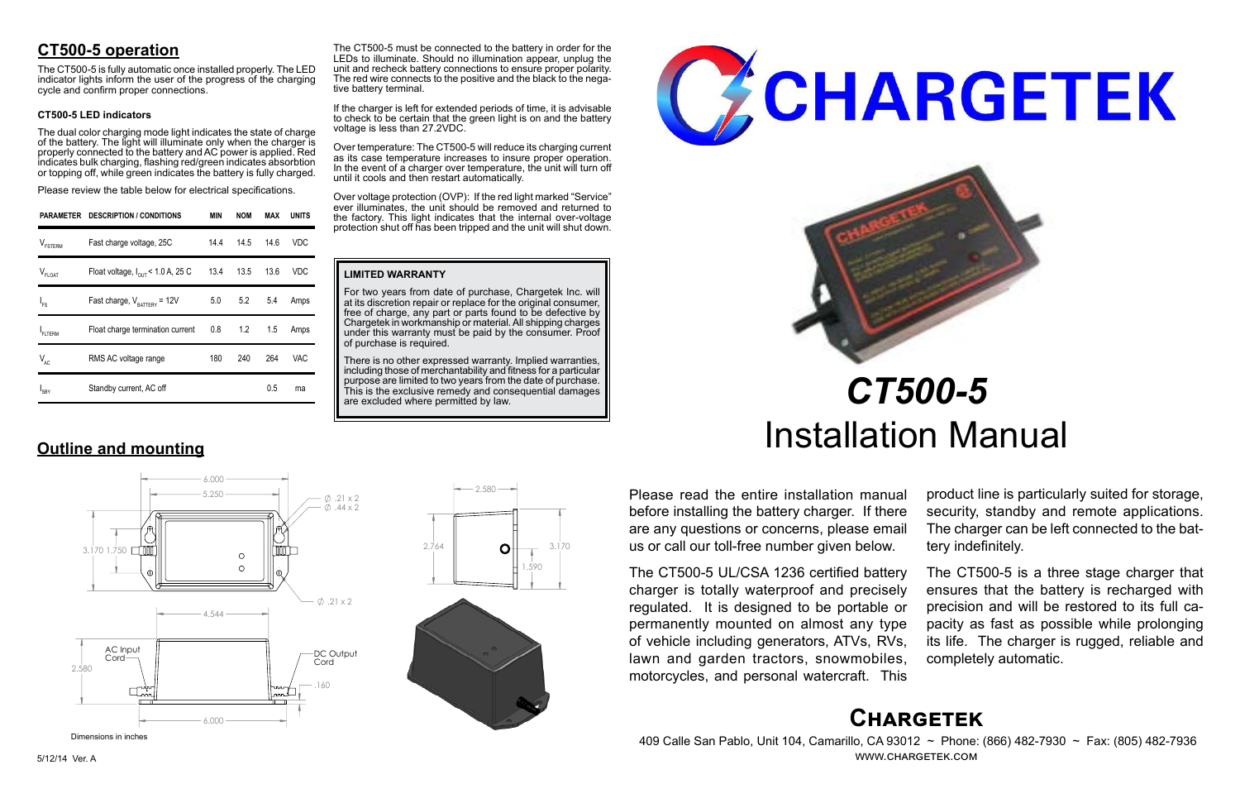# **Chargetek**

 409 Calle San Pablo, Unit 104, Camarillo, CA 93012 ~ Phone: (866) 482-7930 ~ Fax: (805) 482-7936 www.chargetek.com

# **CT500-5 operation**

The dual color charging mode light indicates the state of charge of the battery. The light will illuminate only when the charger is properly connected to the battery and AC power is applied. Red indicates bulk charging, flashing red/green indicates absorbtion or topping off, while green indicates the battery is fully charged.

The CT500-5 is fully automatic once installed properly. The LED indicator lights inform the user of the progress of the charging cycle and confirm proper connections.

#### **CT500-5 LED indicators**

Please review the table below for electrical specifications.

Please read the entire installation manual before installing the battery charger. If there are any questions or concerns, please email us or call our toll-free number given below.

The CT500-5 UL/CSA 1236 certified battery charger is totally waterproof and precisely regulated. It is designed to be portable or permanently mounted on almost any type of vehicle including generators, ATVs, RVs, lawn and garden tractors, snowmobiles, motorcycles, and personal watercraft. This

There is no other expressed warranty. Implied warranties, including those of merchantability and fitness for a particular purpose are limited to two years from the date of purchase. This is the exclusive remedy and consequential damages are excluded where permitted by law.





product line is particularly suited for storage, security, standby and remote applications. The charger can be left connected to the battery indefinitely.

The CT500-5 must be connected to the battery in order for the LEDs to illuminate. Should no illumination appear, unplug the unit and recheck battery connections to ensure proper polarity. The red wire connects to the positive and the black to the nega-<br>tive battery terminal.

> The CT500-5 is a three stage charger that ensures that the battery is recharged with precision and will be restored to its full capacity as fast as possible while prolonging its life. The charger is rugged, reliable and completely automatic.

# *CT500-5* Installation Manual

|                     | PARAMETER DESCRIPTION / CONDITIONS            | <b>MIN</b> | <b>NOM</b> | MAX  | <b>UNITS</b> |
|---------------------|-----------------------------------------------|------------|------------|------|--------------|
| $V_{\text{FSTERM}}$ | Fast charge voltage, 25C                      | 14.4       | 14.5       | 14.6 | VDC          |
| $V_{FLOAT}$         | Float voltage, $I_{\text{out}}$ < 1.0 A, 25 C |            | 13.4 13.5  | 13.6 | VDC          |
| $I_{FS}$            | Fast charge, $V_{\text{rATTARY}}$ = 12V       |            | 5.0 5.2    | 5.4  | Amps         |
| <b>FLTERM</b>       | Float charge termination current              |            | $0.8$ 1.2  | 1.5  | Amps         |
| $V_{AC}$            | RMS AC voltage range                          | 180        | 240        | 264  | VAC.         |
| I <sub>SBY</sub>    | Standby current, AC off                       |            |            | 0.5  | ma           |

**Outline and mounting**

#### **LIMITED WARRANTY**

For two years from date of purchase, Chargetek Inc. will at its discretion repair or replace for the original consumer, free of charge, any part or parts found to be defective by Chargetek in workmanship or material. All shipping charges under this warranty must be paid by the consumer. Proof of purchase is required.

If the charger is left for extended periods of time, it is advisable to check to be certain that the green light is on and the battery voltage is less than 27.2VDC.

Over temperature: The CT500-5 will reduce its charging current as its case temperature increases to insure proper operation. In the event of a charger over temperature, the unit will turn off until it cools and then restart automatically.

Over voltage protection (OVP): If the red light marked "Service" ever illuminates, the unit should be removed and returned to the factory. This light indicates that the internal over-voltage protection shut off has been tripped and the unit will shut down.

 6.000  $5.250 \rightarrow 21 \times 2$  $\phi$ . 44 x 2 3.170 1.750  $\circ$  $\circ$  $\emptyset$ .21 x 2 4.544 AC Input DC Output Cord-Cord 2.580 .160 6.000



Dimensions in inches